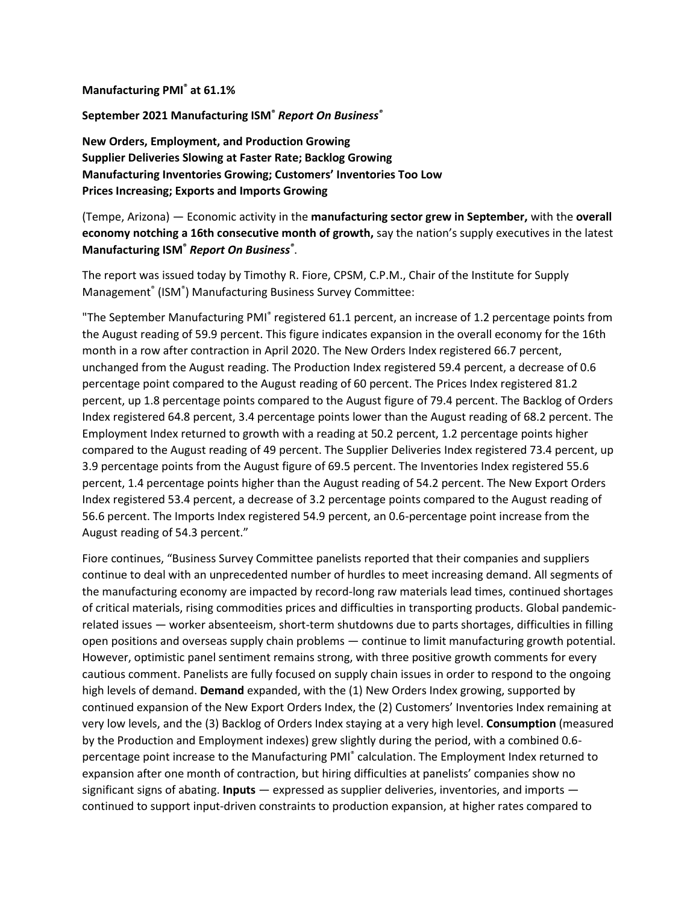**Manufacturing PMI® at 61.1%**

**September 2021 Manufacturing ISM®** *Report On Business®*

**New Orders, Employment, and Production Growing Supplier Deliveries Slowing at Faster Rate; Backlog Growing Manufacturing Inventories Growing; Customers' Inventories Too Low Prices Increasing; Exports and Imports Growing**

(Tempe, Arizona) — Economic activity in the **manufacturing sector grew in September,** with the **overall economy notching a 16th consecutive month of growth,** say the nation's supply executives in the latest **Manufacturing ISM®** *Report On Business®* .

The report was issued today by Timothy R. Fiore, CPSM, C.P.M., Chair of the Institute for Supply Management<sup>®</sup> (ISM®) Manufacturing Business Survey Committee:

"The September Manufacturing PMI<sup>®</sup> registered 61.1 percent, an increase of 1.2 percentage points from the August reading of 59.9 percent. This figure indicates expansion in the overall economy for the 16th month in a row after contraction in April 2020. The New Orders Index registered 66.7 percent, unchanged from the August reading. The Production Index registered 59.4 percent, a decrease of 0.6 percentage point compared to the August reading of 60 percent. The Prices Index registered 81.2 percent, up 1.8 percentage points compared to the August figure of 79.4 percent. The Backlog of Orders Index registered 64.8 percent, 3.4 percentage points lower than the August reading of 68.2 percent. The Employment Index returned to growth with a reading at 50.2 percent, 1.2 percentage points higher compared to the August reading of 49 percent. The Supplier Deliveries Index registered 73.4 percent, up 3.9 percentage points from the August figure of 69.5 percent. The Inventories Index registered 55.6 percent, 1.4 percentage points higher than the August reading of 54.2 percent. The New Export Orders Index registered 53.4 percent, a decrease of 3.2 percentage points compared to the August reading of 56.6 percent. The Imports Index registered 54.9 percent, an 0.6-percentage point increase from the August reading of 54.3 percent."

Fiore continues, "Business Survey Committee panelists reported that their companies and suppliers continue to deal with an unprecedented number of hurdles to meet increasing demand. All segments of the manufacturing economy are impacted by record-long raw materials lead times, continued shortages of critical materials, rising commodities prices and difficulties in transporting products. Global pandemicrelated issues — worker absenteeism, short-term shutdowns due to parts shortages, difficulties in filling open positions and overseas supply chain problems — continue to limit manufacturing growth potential. However, optimistic panel sentiment remains strong, with three positive growth comments for every cautious comment. Panelists are fully focused on supply chain issues in order to respond to the ongoing high levels of demand. **Demand** expanded, with the (1) New Orders Index growing, supported by continued expansion of the New Export Orders Index, the (2) Customers' Inventories Index remaining at very low levels, and the (3) Backlog of Orders Index staying at a very high level. **Consumption** (measured by the Production and Employment indexes) grew slightly during the period, with a combined 0.6 percentage point increase to the Manufacturing PMI<sup>®</sup> calculation. The Employment Index returned to expansion after one month of contraction, but hiring difficulties at panelists' companies show no significant signs of abating. **Inputs** — expressed as supplier deliveries, inventories, and imports continued to support input-driven constraints to production expansion, at higher rates compared to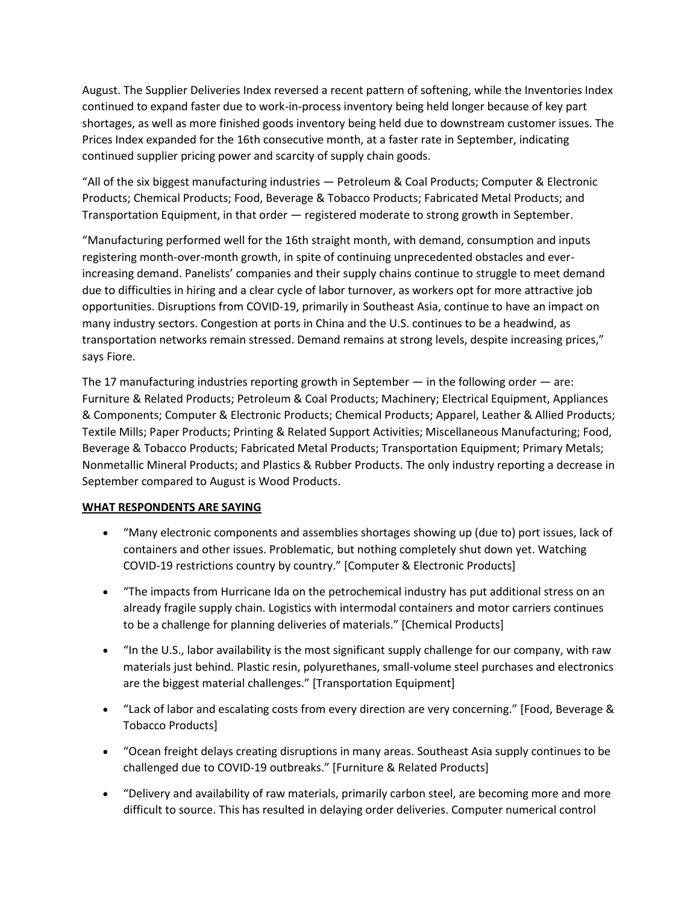August. The Supplier Deliveries Index reversed a recent pattern of softening, while the Inventories Index continued to expand faster due to work-in-process inventory being held longer because of key part shortages, as well as more finished goods inventory being held due to downstream customer issues. The Prices Index expanded for the 16th consecutive month, at a faster rate in September, indicating continued supplier pricing power and scarcity of supply chain goods.

"All of the six biggest manufacturing industries — Petroleum & Coal Products; Computer & Electronic Products; Chemical Products; Food, Beverage & Tobacco Products; Fabricated Metal Products; and Transportation Equipment, in that order — registered moderate to strong growth in September.

"Manufacturing performed well for the 16th straight month, with demand, consumption and inputs registering month-over-month growth, in spite of continuing unprecedented obstacles and everincreasing demand. Panelists' companies and their supply chains continue to struggle to meet demand due to difficulties in hiring and a clear cycle of labor turnover, as workers opt for more attractive job opportunities. Disruptions from COVID-19, primarily in Southeast Asia, continue to have an impact on many industry sectors. Congestion at ports in China and the U.S. continues to be a headwind, as transportation networks remain stressed. Demand remains at strong levels, despite increasing prices," says Fiore.

The 17 manufacturing industries reporting growth in September — in the following order — are: Furniture & Related Products; Petroleum & Coal Products; Machinery; Electrical Equipment, Appliances & Components; Computer & Electronic Products; Chemical Products; Apparel, Leather & Allied Products; Textile Mills; Paper Products; Printing & Related Support Activities; Miscellaneous Manufacturing; Food, Beverage & Tobacco Products; Fabricated Metal Products; Transportation Equipment; Primary Metals; Nonmetallic Mineral Products; and Plastics & Rubber Products. The only industry reporting a decrease in September compared to August is Wood Products.

# **WHAT RESPONDENTS ARE SAYING**

- "Many electronic components and assemblies shortages showing up (due to) port issues, lack of containers and other issues. Problematic, but nothing completely shut down yet. Watching COVID-19 restrictions country by country." [Computer & Electronic Products]
- "The impacts from Hurricane Ida on the petrochemical industry has put additional stress on an already fragile supply chain. Logistics with intermodal containers and motor carriers continues to be a challenge for planning deliveries of materials." [Chemical Products]
- "In the U.S., labor availability is the most significant supply challenge for our company, with raw materials just behind. Plastic resin, polyurethanes, small-volume steel purchases and electronics are the biggest material challenges." [Transportation Equipment]
- "Lack of labor and escalating costs from every direction are very concerning." [Food, Beverage & Tobacco Products]
- "Ocean freight delays creating disruptions in many areas. Southeast Asia supply continues to be challenged due to COVID-19 outbreaks." [Furniture & Related Products]
- "Delivery and availability of raw materials, primarily carbon steel, are becoming more and more difficult to source. This has resulted in delaying order deliveries. Computer numerical control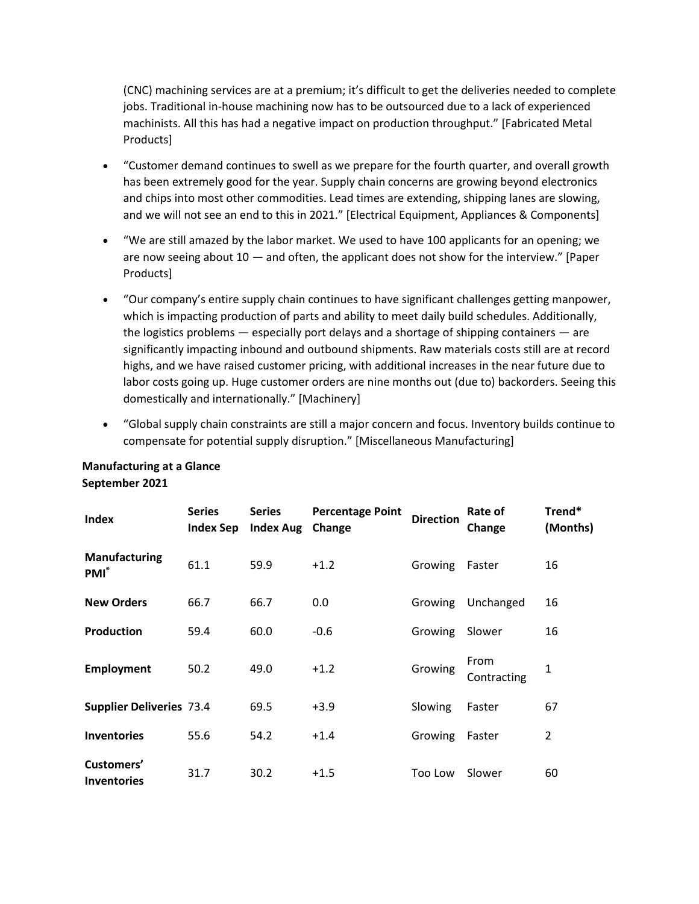(CNC) machining services are at a premium; it's difficult to get the deliveries needed to complete jobs. Traditional in-house machining now has to be outsourced due to a lack of experienced machinists. All this has had a negative impact on production throughput." [Fabricated Metal Products]

- "Customer demand continues to swell as we prepare for the fourth quarter, and overall growth has been extremely good for the year. Supply chain concerns are growing beyond electronics and chips into most other commodities. Lead times are extending, shipping lanes are slowing, and we will not see an end to this in 2021." [Electrical Equipment, Appliances & Components]
- "We are still amazed by the labor market. We used to have 100 applicants for an opening; we are now seeing about 10 — and often, the applicant does not show for the interview." [Paper Products]
- "Our company's entire supply chain continues to have significant challenges getting manpower, which is impacting production of parts and ability to meet daily build schedules. Additionally, the logistics problems — especially port delays and a shortage of shipping containers — are significantly impacting inbound and outbound shipments. Raw materials costs still are at record highs, and we have raised customer pricing, with additional increases in the near future due to labor costs going up. Huge customer orders are nine months out (due to) backorders. Seeing this domestically and internationally." [Machinery]
- "Global supply chain constraints are still a major concern and focus. Inventory builds continue to compensate for potential supply disruption." [Miscellaneous Manufacturing]

| Index                                 | <b>Series</b><br><b>Index Sep</b> | <b>Series</b><br><b>Index Aug</b> | <b>Percentage Point</b><br>Change | <b>Direction</b> | Rate of<br>Change   | Trend*<br>(Months) |
|---------------------------------------|-----------------------------------|-----------------------------------|-----------------------------------|------------------|---------------------|--------------------|
| <b>Manufacturing</b><br>$PMI^{\circ}$ | 61.1                              | 59.9                              | $+1.2$                            | Growing          | Faster              | 16                 |
| <b>New Orders</b>                     | 66.7                              | 66.7                              | 0.0                               | Growing          | Unchanged           | 16                 |
| Production                            | 59.4                              | 60.0                              | $-0.6$                            | Growing          | Slower              | 16                 |
| <b>Employment</b>                     | 50.2                              | 49.0                              | $+1.2$                            | Growing          | From<br>Contracting | 1                  |
| <b>Supplier Deliveries 73.4</b>       |                                   | 69.5                              | $+3.9$                            | Slowing          | Faster              | 67                 |
| <b>Inventories</b>                    | 55.6                              | 54.2                              | $+1.4$                            | Growing          | Faster              | 2                  |
| Customers'<br><b>Inventories</b>      | 31.7                              | 30.2                              | $+1.5$                            | Too Low          | Slower              | 60                 |

# **Manufacturing at a Glance September 2021**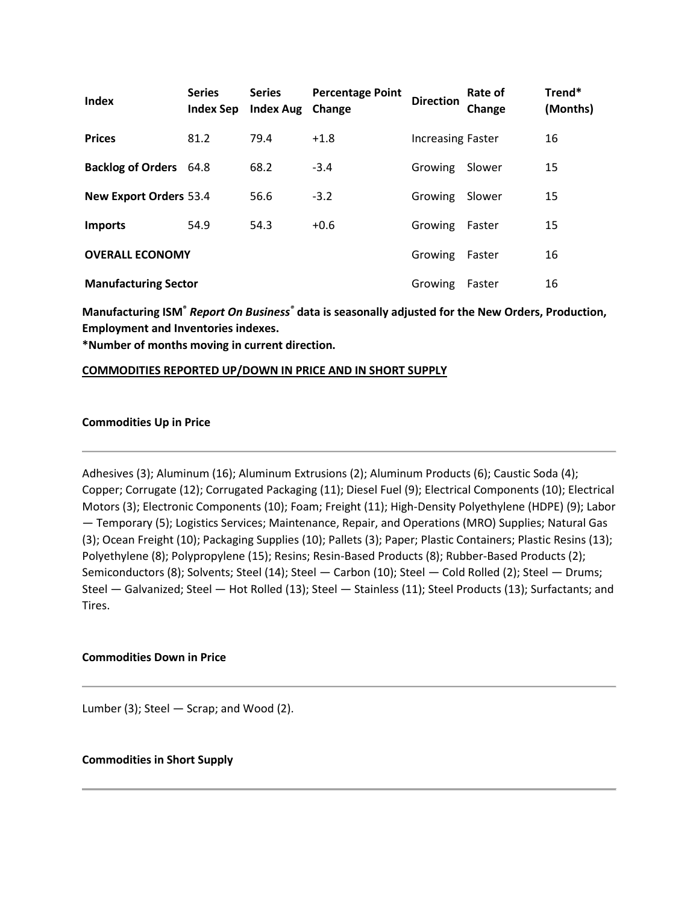| <b>Index</b>                  | <b>Series</b><br><b>Index Sep</b> | <b>Series</b><br><b>Index Aug</b> | <b>Percentage Point</b><br>Change | <b>Direction</b>         | Rate of<br>Change | Trend*<br>(Months) |
|-------------------------------|-----------------------------------|-----------------------------------|-----------------------------------|--------------------------|-------------------|--------------------|
| <b>Prices</b>                 | 81.2                              | 79.4                              | $+1.8$                            | <b>Increasing Faster</b> |                   | 16                 |
| <b>Backlog of Orders</b> 64.8 |                                   | 68.2                              | $-3.4$                            | Growing                  | Slower            | 15                 |
| <b>New Export Orders 53.4</b> |                                   | 56.6                              | $-3.2$                            | Growing                  | Slower            | 15                 |
| <b>Imports</b>                | 54.9                              | 54.3                              | $+0.6$                            | Growing                  | Faster            | 15                 |
| <b>OVERALL ECONOMY</b>        |                                   |                                   |                                   | Growing                  | Faster            | 16                 |
| <b>Manufacturing Sector</b>   |                                   |                                   |                                   | Growing                  | Faster            | 16                 |

**Manufacturing ISM®** *Report On Business®* **data is seasonally adjusted for the New Orders, Production, Employment and Inventories indexes.**

**\*Number of months moving in current direction.**

### **COMMODITIES REPORTED UP/DOWN IN PRICE AND IN SHORT SUPPLY**

### **Commodities Up in Price**

Adhesives (3); Aluminum (16); Aluminum Extrusions (2); Aluminum Products (6); Caustic Soda (4); Copper; Corrugate (12); Corrugated Packaging (11); Diesel Fuel (9); Electrical Components (10); Electrical Motors (3); Electronic Components (10); Foam; Freight (11); High-Density Polyethylene (HDPE) (9); Labor — Temporary (5); Logistics Services; Maintenance, Repair, and Operations (MRO) Supplies; Natural Gas (3); Ocean Freight (10); Packaging Supplies (10); Pallets (3); Paper; Plastic Containers; Plastic Resins (13); Polyethylene (8); Polypropylene (15); Resins; Resin-Based Products (8); Rubber-Based Products (2); Semiconductors (8); Solvents; Steel (14); Steel — Carbon (10); Steel — Cold Rolled (2); Steel — Drums; Steel — Galvanized; Steel — Hot Rolled (13); Steel — Stainless (11); Steel Products (13); Surfactants; and Tires.

#### **Commodities Down in Price**

Lumber (3); Steel — Scrap; and Wood (2).

## **Commodities in Short Supply**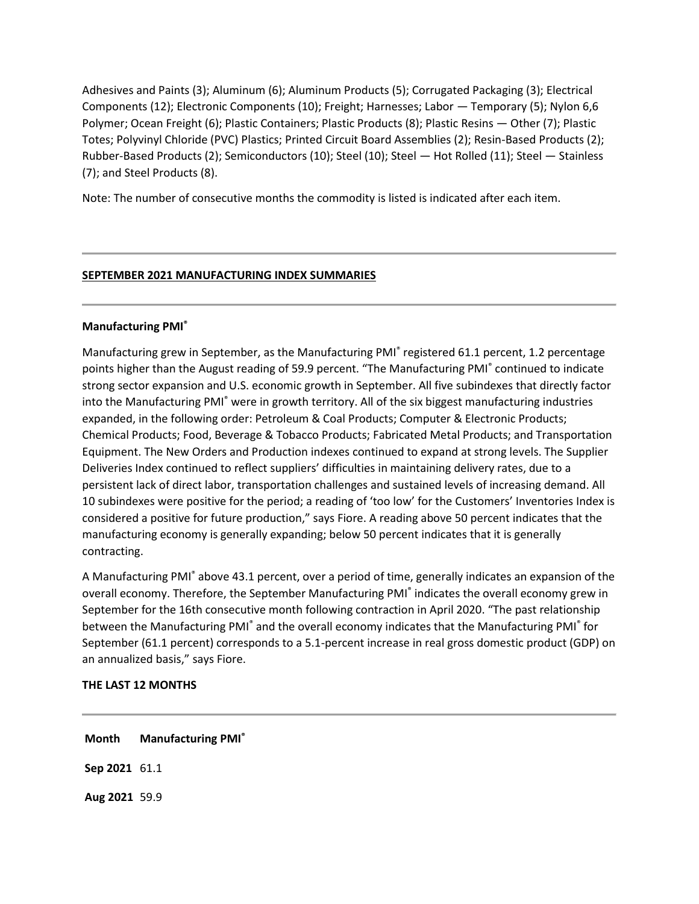Adhesives and Paints (3); Aluminum (6); Aluminum Products (5); Corrugated Packaging (3); Electrical Components (12); Electronic Components (10); Freight; Harnesses; Labor — Temporary (5); Nylon 6,6 Polymer; Ocean Freight (6); Plastic Containers; Plastic Products (8); Plastic Resins — Other (7); Plastic Totes; Polyvinyl Chloride (PVC) Plastics; Printed Circuit Board Assemblies (2); Resin-Based Products (2); Rubber-Based Products (2); Semiconductors (10); Steel (10); Steel — Hot Rolled (11); Steel — Stainless (7); and Steel Products (8).

Note: The number of consecutive months the commodity is listed is indicated after each item.

## **SEPTEMBER 2021 MANUFACTURING INDEX SUMMARIES**

## **Manufacturing PMI®**

Manufacturing grew in September, as the Manufacturing PMI® registered 61.1 percent, 1.2 percentage points higher than the August reading of 59.9 percent. "The Manufacturing PMI® continued to indicate strong sector expansion and U.S. economic growth in September. All five subindexes that directly factor into the Manufacturing PMI<sup>®</sup> were in growth territory. All of the six biggest manufacturing industries expanded, in the following order: Petroleum & Coal Products; Computer & Electronic Products; Chemical Products; Food, Beverage & Tobacco Products; Fabricated Metal Products; and Transportation Equipment. The New Orders and Production indexes continued to expand at strong levels. The Supplier Deliveries Index continued to reflect suppliers' difficulties in maintaining delivery rates, due to a persistent lack of direct labor, transportation challenges and sustained levels of increasing demand. All 10 subindexes were positive for the period; a reading of 'too low' for the Customers' Inventories Index is considered a positive for future production," says Fiore. A reading above 50 percent indicates that the manufacturing economy is generally expanding; below 50 percent indicates that it is generally contracting.

A Manufacturing PMI® above 43.1 percent, over a period of time, generally indicates an expansion of the overall economy. Therefore, the September Manufacturing PMI<sup>®</sup> indicates the overall economy grew in September for the 16th consecutive month following contraction in April 2020. "The past relationship between the Manufacturing PMI<sup>®</sup> and the overall economy indicates that the Manufacturing PMI<sup>®</sup> for September (61.1 percent) corresponds to a 5.1-percent increase in real gross domestic product (GDP) on an annualized basis," says Fiore.

### **THE LAST 12 MONTHS**

**Month Manufacturing PMI® Sep 2021** 61.1 **Aug 2021** 59.9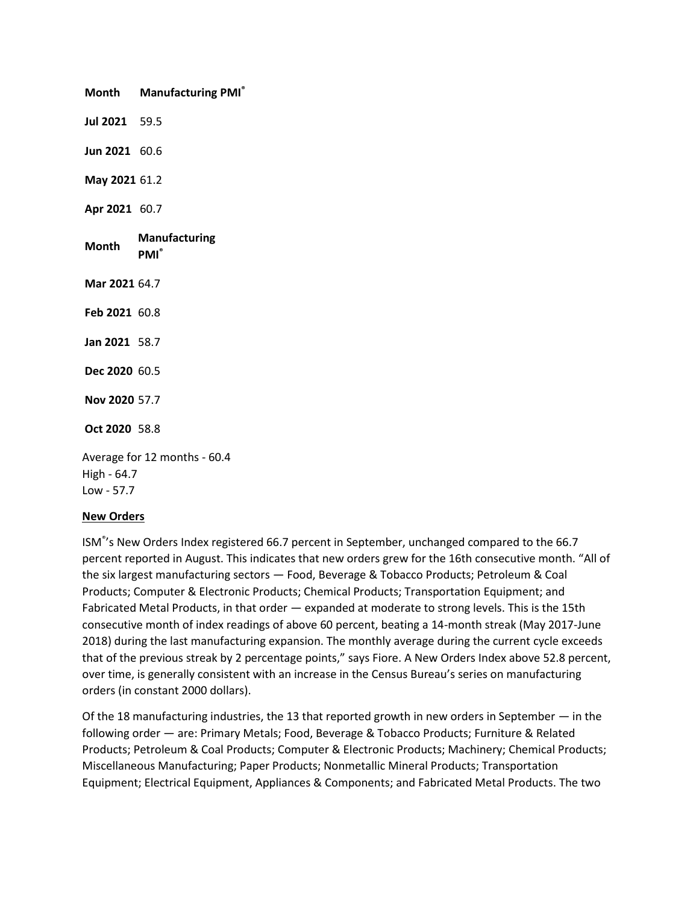|                           | Month Manufacturing PMI®     |
|---------------------------|------------------------------|
| Jul 2021 59.5             |                              |
| Jun 2021 60.6             |                              |
| May 2021 61.2             |                              |
| Apr 2021 60.7             |                              |
| <b>Month</b>              | Manufacturing<br>PMI®        |
| Mar 2021 64.7             |                              |
| Feb 2021 60.8             |                              |
| Jan 2021 58.7             |                              |
| Dec 2020 60.5             |                              |
| Nov 2020 57.7             |                              |
| Oct 2020 58.8             |                              |
| High - 64.7<br>Low - 57.7 | Average for 12 months - 60.4 |

## **New Orders**

ISM® 's New Orders Index registered 66.7 percent in September, unchanged compared to the 66.7 percent reported in August. This indicates that new orders grew for the 16th consecutive month. "All of the six largest manufacturing sectors — Food, Beverage & Tobacco Products; Petroleum & Coal Products; Computer & Electronic Products; Chemical Products; Transportation Equipment; and Fabricated Metal Products, in that order — expanded at moderate to strong levels. This is the 15th consecutive month of index readings of above 60 percent, beating a 14-month streak (May 2017-June 2018) during the last manufacturing expansion. The monthly average during the current cycle exceeds that of the previous streak by 2 percentage points," says Fiore. A New Orders Index above 52.8 percent, over time, is generally consistent with an increase in the Census Bureau's series on manufacturing orders (in constant 2000 dollars).

Of the 18 manufacturing industries, the 13 that reported growth in new orders in September — in the following order — are: Primary Metals; Food, Beverage & Tobacco Products; Furniture & Related Products; Petroleum & Coal Products; Computer & Electronic Products; Machinery; Chemical Products; Miscellaneous Manufacturing; Paper Products; Nonmetallic Mineral Products; Transportation Equipment; Electrical Equipment, Appliances & Components; and Fabricated Metal Products. The two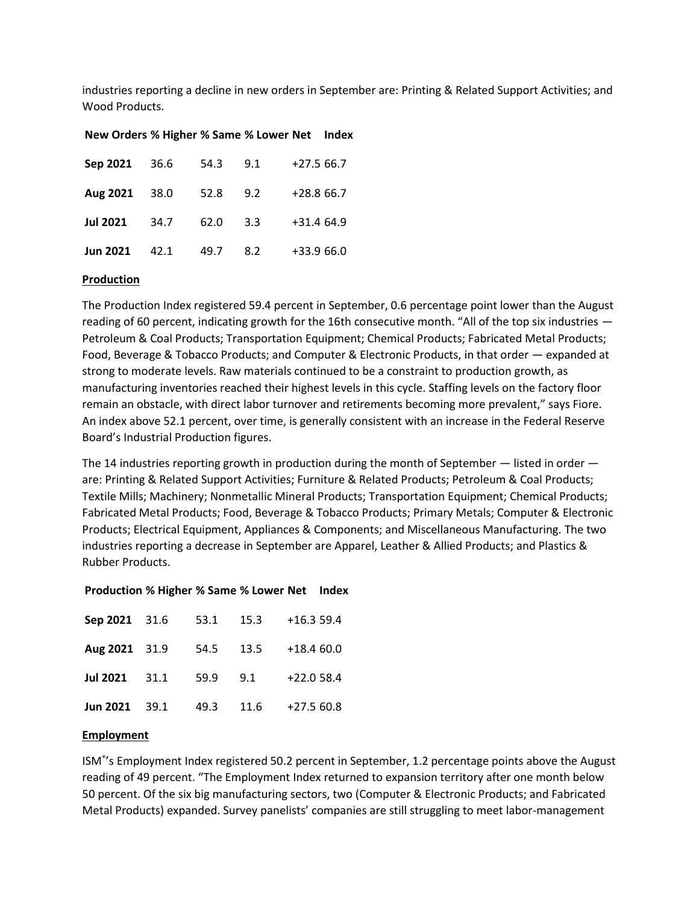industries reporting a decline in new orders in September are: Printing & Related Support Activities; and Wood Products.

| Sep 2021 36.6   |      | 54.3 | 9.1    | $+27.566.7$ |
|-----------------|------|------|--------|-------------|
| Aug 2021 38.0   |      | 52.8 | 9.2    | $+28.866.7$ |
| <b>Jul 2021</b> | 34.7 | 62.0 | $-3.3$ | $+31.464.9$ |
| <b>Jun 2021</b> | 42.1 | 49.7 | 8.2    | $+33.966.0$ |

**New Orders % Higher % Same % Lower Net Index**

#### **Production**

The Production Index registered 59.4 percent in September, 0.6 percentage point lower than the August reading of 60 percent, indicating growth for the 16th consecutive month. "All of the top six industries — Petroleum & Coal Products; Transportation Equipment; Chemical Products; Fabricated Metal Products; Food, Beverage & Tobacco Products; and Computer & Electronic Products, in that order — expanded at strong to moderate levels. Raw materials continued to be a constraint to production growth, as manufacturing inventories reached their highest levels in this cycle. Staffing levels on the factory floor remain an obstacle, with direct labor turnover and retirements becoming more prevalent," says Fiore. An index above 52.1 percent, over time, is generally consistent with an increase in the Federal Reserve Board's Industrial Production figures.

The 14 industries reporting growth in production during the month of September  $-$  listed in order  $$ are: Printing & Related Support Activities; Furniture & Related Products; Petroleum & Coal Products; Textile Mills; Machinery; Nonmetallic Mineral Products; Transportation Equipment; Chemical Products; Fabricated Metal Products; Food, Beverage & Tobacco Products; Primary Metals; Computer & Electronic Products; Electrical Equipment, Appliances & Components; and Miscellaneous Manufacturing. The two industries reporting a decrease in September are Apparel, Leather & Allied Products; and Plastics & Rubber Products.

#### **Production % Higher % Same % Lower Net Index**

| Sep 2021 31.6 |  | 53.1 15.3 +16.3 59.4                       |
|---------------|--|--------------------------------------------|
|               |  | Aug 2021 31.9 54.5 13.5 +18.4 60.0         |
|               |  | Jul 2021 31.1 59.9 9.1 +22.0 58.4          |
|               |  | <b>Jun 2021</b> 39.1 49.3 11.6 $+27.560.8$ |

### **Employment**

ISM® 's Employment Index registered 50.2 percent in September, 1.2 percentage points above the August reading of 49 percent. "The Employment Index returned to expansion territory after one month below 50 percent. Of the six big manufacturing sectors, two (Computer & Electronic Products; and Fabricated Metal Products) expanded. Survey panelists' companies are still struggling to meet labor-management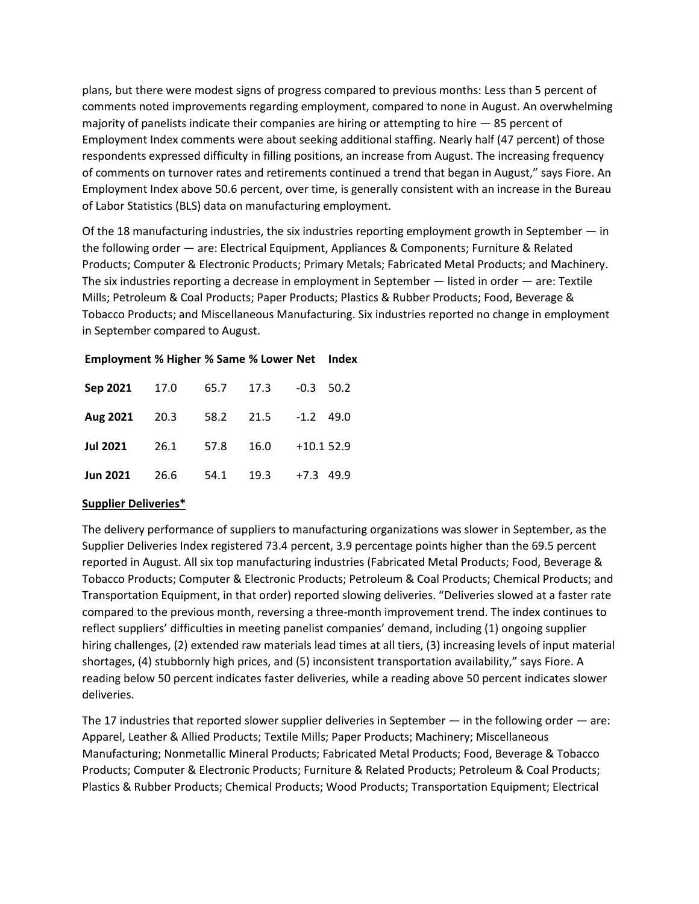plans, but there were modest signs of progress compared to previous months: Less than 5 percent of comments noted improvements regarding employment, compared to none in August. An overwhelming majority of panelists indicate their companies are hiring or attempting to hire — 85 percent of Employment Index comments were about seeking additional staffing. Nearly half (47 percent) of those respondents expressed difficulty in filling positions, an increase from August. The increasing frequency of comments on turnover rates and retirements continued a trend that began in August," says Fiore. An Employment Index above 50.6 percent, over time, is generally consistent with an increase in the Bureau of Labor Statistics (BLS) data on manufacturing employment.

Of the 18 manufacturing industries, the six industries reporting employment growth in September — in the following order — are: Electrical Equipment, Appliances & Components; Furniture & Related Products; Computer & Electronic Products; Primary Metals; Fabricated Metal Products; and Machinery. The six industries reporting a decrease in employment in September — listed in order — are: Textile Mills; Petroleum & Coal Products; Paper Products; Plastics & Rubber Products; Food, Beverage & Tobacco Products; and Miscellaneous Manufacturing. Six industries reported no change in employment in September compared to August.

|                 |      |  | Sep 2021 17.0 65.7 17.3 -0.3 50.2 |
|-----------------|------|--|-----------------------------------|
|                 |      |  | Aug 2021 20.3 58.2 21.5 -1.2 49.0 |
| <b>Jul 2021</b> |      |  | 26.1 57.8 16.0 +10.1 52.9         |
| <b>Jun 2021</b> | 26.6 |  | 54.1 19.3 +7.3 49.9               |

**Employment % Higher % Same % Lower Net Index**

## **Supplier Deliveries\***

The delivery performance of suppliers to manufacturing organizations was slower in September, as the Supplier Deliveries Index registered 73.4 percent, 3.9 percentage points higher than the 69.5 percent reported in August. All six top manufacturing industries (Fabricated Metal Products; Food, Beverage & Tobacco Products; Computer & Electronic Products; Petroleum & Coal Products; Chemical Products; and Transportation Equipment, in that order) reported slowing deliveries. "Deliveries slowed at a faster rate compared to the previous month, reversing a three-month improvement trend. The index continues to reflect suppliers' difficulties in meeting panelist companies' demand, including (1) ongoing supplier hiring challenges, (2) extended raw materials lead times at all tiers, (3) increasing levels of input material shortages, (4) stubbornly high prices, and (5) inconsistent transportation availability," says Fiore. A reading below 50 percent indicates faster deliveries, while a reading above 50 percent indicates slower deliveries.

The 17 industries that reported slower supplier deliveries in September — in the following order — are: Apparel, Leather & Allied Products; Textile Mills; Paper Products; Machinery; Miscellaneous Manufacturing; Nonmetallic Mineral Products; Fabricated Metal Products; Food, Beverage & Tobacco Products; Computer & Electronic Products; Furniture & Related Products; Petroleum & Coal Products; Plastics & Rubber Products; Chemical Products; Wood Products; Transportation Equipment; Electrical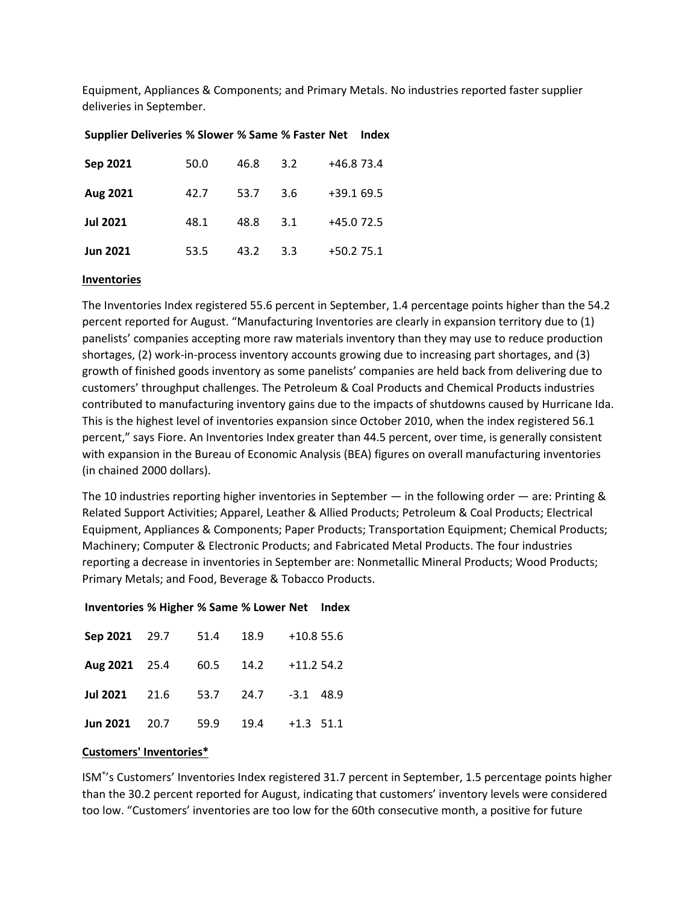Equipment, Appliances & Components; and Primary Metals. No industries reported faster supplier deliveries in September.

| Sep 2021        | 50.0 | 46.8 | 3.2 | $+46.873.4$  |
|-----------------|------|------|-----|--------------|
| Aug 2021        | 42.7 | 53.7 | 3.6 | $+39.169.5$  |
| <b>Jul 2021</b> | 48.1 | 48.8 | 3.1 | +45.0 72.5   |
| <b>Jun 2021</b> | 53.5 | 43.2 | 3.3 | $+50.2$ 75.1 |

### **Supplier Deliveries % Slower % Same % Faster Net Index**

#### **Inventories**

The Inventories Index registered 55.6 percent in September, 1.4 percentage points higher than the 54.2 percent reported for August. "Manufacturing Inventories are clearly in expansion territory due to (1) panelists' companies accepting more raw materials inventory than they may use to reduce production shortages, (2) work-in-process inventory accounts growing due to increasing part shortages, and (3) growth of finished goods inventory as some panelists' companies are held back from delivering due to customers' throughput challenges. The Petroleum & Coal Products and Chemical Products industries contributed to manufacturing inventory gains due to the impacts of shutdowns caused by Hurricane Ida. This is the highest level of inventories expansion since October 2010, when the index registered 56.1 percent," says Fiore. An Inventories Index greater than 44.5 percent, over time, is generally consistent with expansion in the Bureau of Economic Analysis (BEA) figures on overall manufacturing inventories (in chained 2000 dollars).

The 10 industries reporting higher inventories in September — in the following order — are: Printing  $\&$ Related Support Activities; Apparel, Leather & Allied Products; Petroleum & Coal Products; Electrical Equipment, Appliances & Components; Paper Products; Transportation Equipment; Chemical Products; Machinery; Computer & Electronic Products; and Fabricated Metal Products. The four industries reporting a decrease in inventories in September are: Nonmetallic Mineral Products; Wood Products; Primary Metals; and Food, Beverage & Tobacco Products.

#### **Inventories % Higher % Same % Lower Net Index**

|  |  | Sep 2021 29.7 51.4 18.9 +10.8 55.6         |
|--|--|--------------------------------------------|
|  |  | Aug 2021 25.4 60.5 14.2 +11.2 54.2         |
|  |  | <b>Jul 2021</b> 21.6 53.7 24.7 -3.1 48.9   |
|  |  | <b>Jun 2021</b> 20.7 59.9 19.4 $+1.3$ 51.1 |

#### **Customers' Inventories\***

ISM® 's Customers' Inventories Index registered 31.7 percent in September, 1.5 percentage points higher than the 30.2 percent reported for August, indicating that customers' inventory levels were considered too low. "Customers' inventories are too low for the 60th consecutive month, a positive for future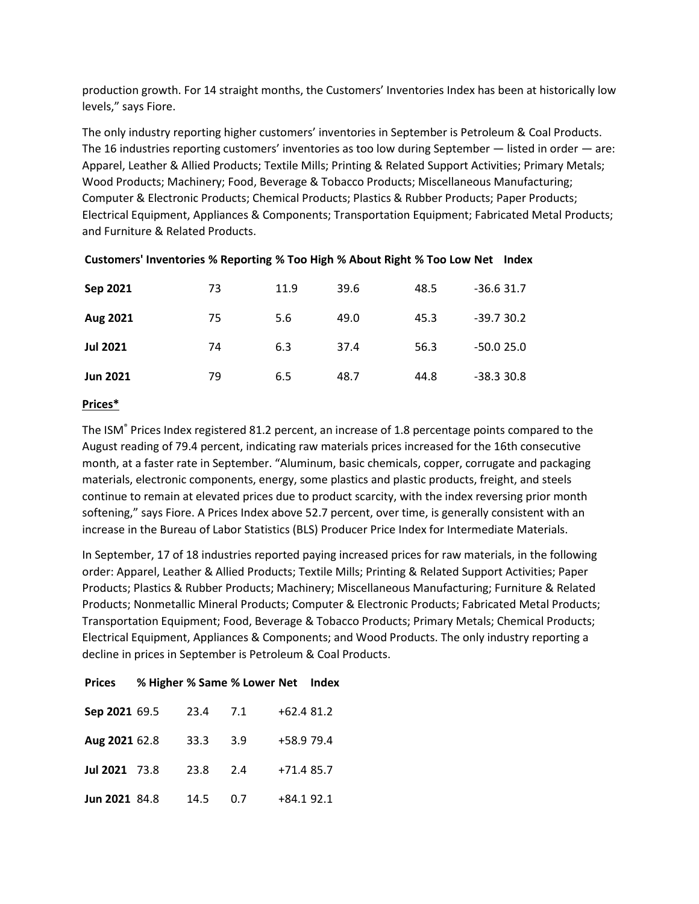production growth. For 14 straight months, the Customers' Inventories Index has been at historically low levels," says Fiore.

The only industry reporting higher customers' inventories in September is Petroleum & Coal Products. The 16 industries reporting customers' inventories as too low during September — listed in order — are: Apparel, Leather & Allied Products; Textile Mills; Printing & Related Support Activities; Primary Metals; Wood Products; Machinery; Food, Beverage & Tobacco Products; Miscellaneous Manufacturing; Computer & Electronic Products; Chemical Products; Plastics & Rubber Products; Paper Products; Electrical Equipment, Appliances & Components; Transportation Equipment; Fabricated Metal Products; and Furniture & Related Products.

| Sep 2021        | 73 | 11.9 | 39.6 | 48.5 | $-36.631.7$ |
|-----------------|----|------|------|------|-------------|
| Aug 2021        | 75 | 5.6  | 49.0 | 45.3 | $-39.730.2$ |
| <b>Jul 2021</b> | 74 | 6.3  | 37.4 | 56.3 | $-50.025.0$ |
| <b>Jun 2021</b> | 79 | 6.5  | 48.7 | 44.8 | $-38.330.8$ |

# **Customers' Inventories % Reporting % Too High % About Right % Too Low Net Index**

## **Prices\***

The ISM® Prices Index registered 81.2 percent, an increase of 1.8 percentage points compared to the August reading of 79.4 percent, indicating raw materials prices increased for the 16th consecutive month, at a faster rate in September. "Aluminum, basic chemicals, copper, corrugate and packaging materials, electronic components, energy, some plastics and plastic products, freight, and steels continue to remain at elevated prices due to product scarcity, with the index reversing prior month softening," says Fiore. A Prices Index above 52.7 percent, over time, is generally consistent with an increase in the Bureau of Labor Statistics (BLS) Producer Price Index for Intermediate Materials.

In September, 17 of 18 industries reported paying increased prices for raw materials, in the following order: Apparel, Leather & Allied Products; Textile Mills; Printing & Related Support Activities; Paper Products; Plastics & Rubber Products; Machinery; Miscellaneous Manufacturing; Furniture & Related Products; Nonmetallic Mineral Products; Computer & Electronic Products; Fabricated Metal Products; Transportation Equipment; Food, Beverage & Tobacco Products; Primary Metals; Chemical Products; Electrical Equipment, Appliances & Components; and Wood Products. The only industry reporting a decline in prices in September is Petroleum & Coal Products.

| <b>Prices</b> | % Higher % Same % Lower Net Index |      |      |             |  |
|---------------|-----------------------------------|------|------|-------------|--|
| Sep 2021 69.5 |                                   | 23.4 | 7.1  | $+62.481.2$ |  |
| Aug 2021 62.8 |                                   | 33.3 | -3.9 | +58.9 79.4  |  |
| Jul 2021 73.8 |                                   | 23.8 | 2.4  | $+71.485.7$ |  |
| Jun 2021 84.8 |                                   | 14.5 | 0.7  | $+84.192.1$ |  |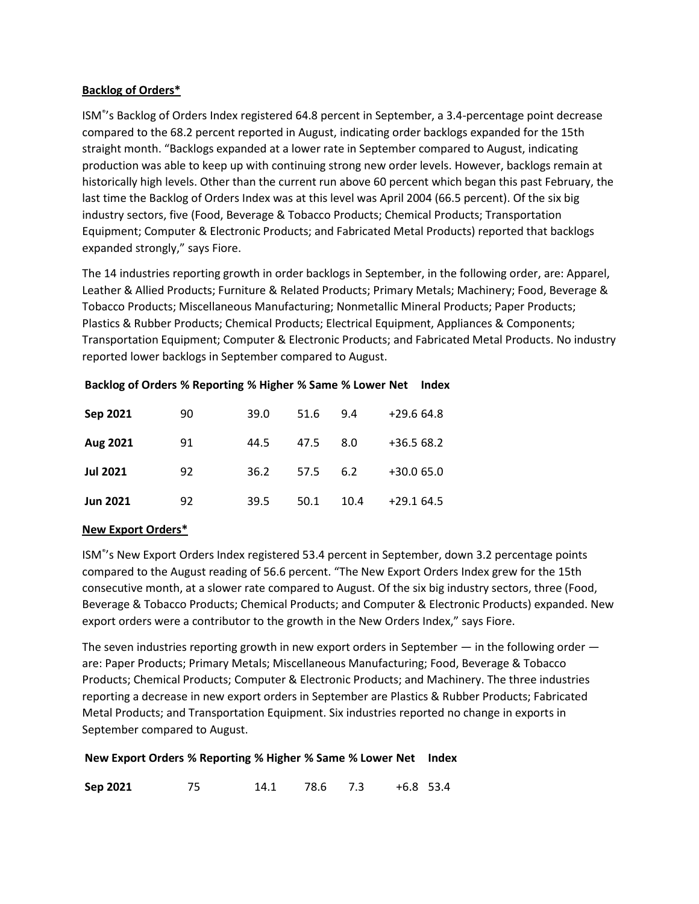## **Backlog of Orders\***

ISM® 's Backlog of Orders Index registered 64.8 percent in September, a 3.4-percentage point decrease compared to the 68.2 percent reported in August, indicating order backlogs expanded for the 15th straight month. "Backlogs expanded at a lower rate in September compared to August, indicating production was able to keep up with continuing strong new order levels. However, backlogs remain at historically high levels. Other than the current run above 60 percent which began this past February, the last time the Backlog of Orders Index was at this level was April 2004 (66.5 percent). Of the six big industry sectors, five (Food, Beverage & Tobacco Products; Chemical Products; Transportation Equipment; Computer & Electronic Products; and Fabricated Metal Products) reported that backlogs expanded strongly," says Fiore.

The 14 industries reporting growth in order backlogs in September, in the following order, are: Apparel, Leather & Allied Products; Furniture & Related Products; Primary Metals; Machinery; Food, Beverage & Tobacco Products; Miscellaneous Manufacturing; Nonmetallic Mineral Products; Paper Products; Plastics & Rubber Products; Chemical Products; Electrical Equipment, Appliances & Components; Transportation Equipment; Computer & Electronic Products; and Fabricated Metal Products. No industry reported lower backlogs in September compared to August.

| Sep 2021        | 90 | 39.0 | 51.6 | 9.4  | $+29.664.8$ |
|-----------------|----|------|------|------|-------------|
| Aug 2021        | 91 | 44.5 | 47.5 | 8.0  | $+36.568.2$ |
| <b>Jul 2021</b> | 92 | 36.2 | 57.5 | 6.2  | +30.0 65.0  |
| <b>Jun 2021</b> | 92 | 39.5 | 50.1 | 10.4 | $+29.164.5$ |

## **Backlog of Orders % Reporting % Higher % Same % Lower Net Index**

## **New Export Orders\***

ISM® 's New Export Orders Index registered 53.4 percent in September, down 3.2 percentage points compared to the August reading of 56.6 percent. "The New Export Orders Index grew for the 15th consecutive month, at a slower rate compared to August. Of the six big industry sectors, three (Food, Beverage & Tobacco Products; Chemical Products; and Computer & Electronic Products) expanded. New export orders were a contributor to the growth in the New Orders Index," says Fiore.

The seven industries reporting growth in new export orders in September  $-$  in the following order  $$ are: Paper Products; Primary Metals; Miscellaneous Manufacturing; Food, Beverage & Tobacco Products; Chemical Products; Computer & Electronic Products; and Machinery. The three industries reporting a decrease in new export orders in September are Plastics & Rubber Products; Fabricated Metal Products; and Transportation Equipment. Six industries reported no change in exports in September compared to August.

### **New Export Orders % Reporting % Higher % Same % Lower Net Index**

**Sep 2021** 75 14.1 78.6 7.3 +6.8 53.4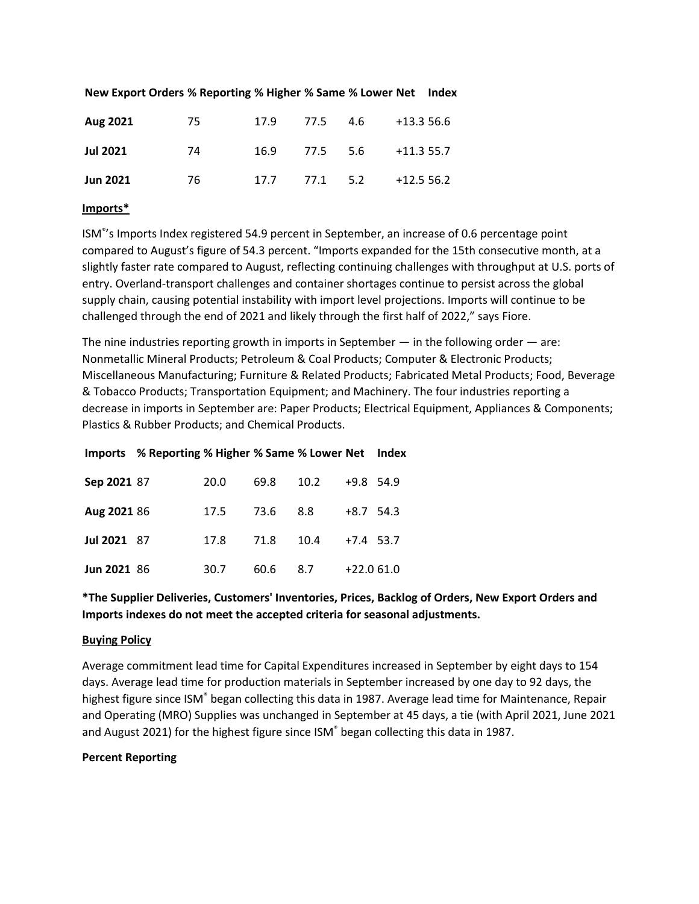| Aug 2021        | 75 | 17.9 | 77.5     | - 4.6 | $+13.356.6$ |
|-----------------|----|------|----------|-------|-------------|
| <b>Jul 2021</b> | 74 | 16.9 | 77.5 5.6 |       | $+11.355.7$ |
| <b>Jun 2021</b> | 76 | 17.7 | 77.1     | 5.2   | $+12.556.2$ |

## **New Export Orders % Reporting % Higher % Same % Lower Net Index**

### **Imports\***

ISM® 's Imports Index registered 54.9 percent in September, an increase of 0.6 percentage point compared to August's figure of 54.3 percent. "Imports expanded for the 15th consecutive month, at a slightly faster rate compared to August, reflecting continuing challenges with throughput at U.S. ports of entry. Overland-transport challenges and container shortages continue to persist across the global supply chain, causing potential instability with import level projections. Imports will continue to be challenged through the end of 2021 and likely through the first half of 2022," says Fiore.

The nine industries reporting growth in imports in September  $-$  in the following order  $-$  are: Nonmetallic Mineral Products; Petroleum & Coal Products; Computer & Electronic Products; Miscellaneous Manufacturing; Furniture & Related Products; Fabricated Metal Products; Food, Beverage & Tobacco Products; Transportation Equipment; and Machinery. The four industries reporting a decrease in imports in September are: Paper Products; Electrical Equipment, Appliances & Components; Plastics & Rubber Products; and Chemical Products.

|             | Imports % Reporting % Higher % Same % Lower Net Index |      |      |      |             |  |
|-------------|-------------------------------------------------------|------|------|------|-------------|--|
| Sep 2021 87 |                                                       | 20.0 | 69.8 | 10.2 | $+9.8$ 54.9 |  |
| Aug 2021 86 |                                                       | 17.5 | 73.6 | 8.8  | $+8.7$ 54.3 |  |
| Jul 2021 87 |                                                       | 17.8 | 71.8 | 10.4 | $+7.4$ 53.7 |  |
| Jun 2021 86 |                                                       | 30.7 | 60.6 | 8.7  | $+22.061.0$ |  |

# **\*The Supplier Deliveries, Customers' Inventories, Prices, Backlog of Orders, New Export Orders and Imports indexes do not meet the accepted criteria for seasonal adjustments.**

## **Buying Policy**

Average commitment lead time for Capital Expenditures increased in September by eight days to 154 days. Average lead time for production materials in September increased by one day to 92 days, the highest figure since ISM® began collecting this data in 1987. Average lead time for Maintenance, Repair and Operating (MRO) Supplies was unchanged in September at 45 days, a tie (with April 2021, June 2021 and August 2021) for the highest figure since ISM<sup>®</sup> began collecting this data in 1987.

### **Percent Reporting**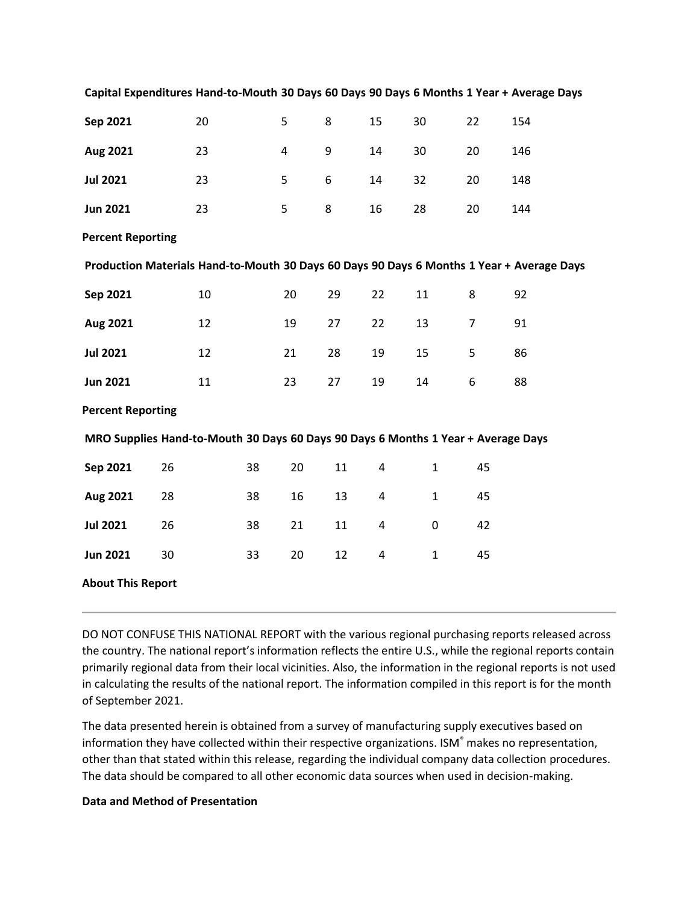| Capital Expenditures Hand-to-Mouth 30 Days 60 Days 90 Days 6 Months 1 Year + Average Days |    |    |    |    |              |                |     |  |  |  |  |
|-------------------------------------------------------------------------------------------|----|----|----|----|--------------|----------------|-----|--|--|--|--|
| Sep 2021                                                                                  | 20 | 5  | 8  | 15 | 30           | 22             | 154 |  |  |  |  |
| Aug 2021                                                                                  | 23 | 4  | 9  | 14 | 30           | 20             | 146 |  |  |  |  |
| <b>Jul 2021</b>                                                                           | 23 | 5  | 6  | 14 | 32           | 20             | 148 |  |  |  |  |
| <b>Jun 2021</b>                                                                           | 23 | 5  | 8  | 16 | 28           | 20             | 144 |  |  |  |  |
| <b>Percent Reporting</b>                                                                  |    |    |    |    |              |                |     |  |  |  |  |
| Production Materials Hand-to-Mouth 30 Days 60 Days 90 Days 6 Months 1 Year + Average Days |    |    |    |    |              |                |     |  |  |  |  |
| Sep 2021                                                                                  | 10 | 20 | 29 | 22 | 11           | 8              | 92  |  |  |  |  |
| Aug 2021                                                                                  | 12 | 19 | 27 | 22 | 13           | $\overline{7}$ | 91  |  |  |  |  |
| <b>Jul 2021</b>                                                                           | 12 | 21 | 28 | 19 | 15           | 5              | 86  |  |  |  |  |
| <b>Jun 2021</b>                                                                           | 11 | 23 | 27 | 19 | 14           | 6              | 88  |  |  |  |  |
| <b>Percent Reporting</b>                                                                  |    |    |    |    |              |                |     |  |  |  |  |
| MRO Supplies Hand-to-Mouth 30 Days 60 Days 90 Days 6 Months 1 Year + Average Days         |    |    |    |    |              |                |     |  |  |  |  |
| Sep 2021<br>26                                                                            | 38 | 20 | 11 | 4  | $\mathbf{1}$ | 45             |     |  |  |  |  |
| 28<br>Aug 2021                                                                            | 38 | 16 | 13 | 4  | $\mathbf{1}$ | 45             |     |  |  |  |  |
| <b>Jul 2021</b><br>26                                                                     | 38 | 21 | 11 | 4  | 0            | 42             |     |  |  |  |  |
| <b>Jun 2021</b><br>30                                                                     | 33 | 20 | 12 | 4  | $\mathbf{1}$ | 45             |     |  |  |  |  |
| <b>About This Report</b>                                                                  |    |    |    |    |              |                |     |  |  |  |  |

DO NOT CONFUSE THIS NATIONAL REPORT with the various regional purchasing reports released across the country. The national report's information reflects the entire U.S., while the regional reports contain primarily regional data from their local vicinities. Also, the information in the regional reports is not used in calculating the results of the national report. The information compiled in this report is for the month of September 2021.

The data presented herein is obtained from a survey of manufacturing supply executives based on information they have collected within their respective organizations. ISM® makes no representation, other than that stated within this release, regarding the individual company data collection procedures. The data should be compared to all other economic data sources when used in decision-making.

### **Data and Method of Presentation**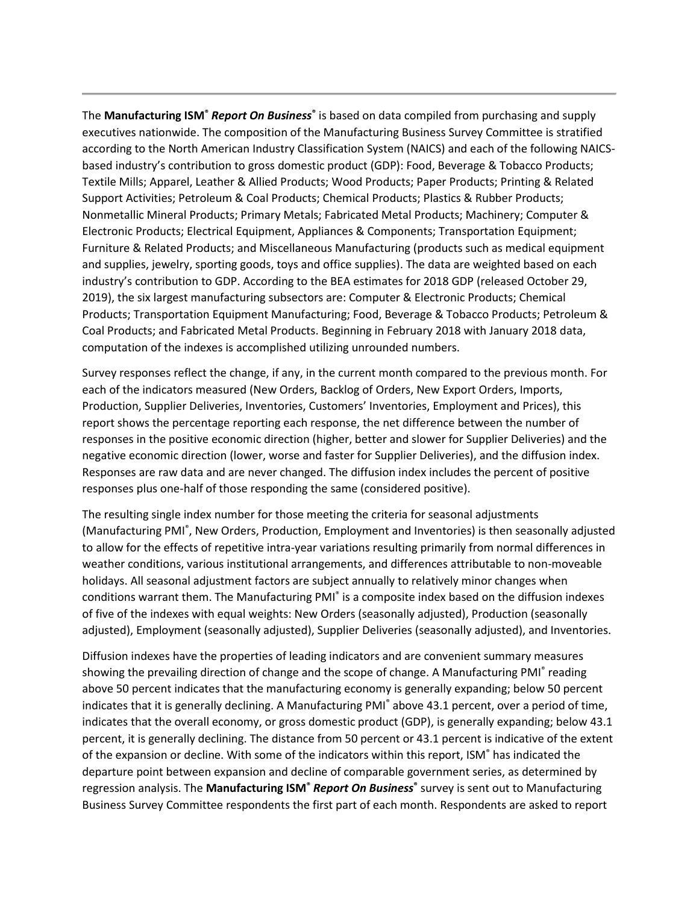The **Manufacturing ISM®** *Report On Business***®** is based on data compiled from purchasing and supply executives nationwide. The composition of the Manufacturing Business Survey Committee is stratified according to the North American Industry Classification System (NAICS) and each of the following NAICSbased industry's contribution to gross domestic product (GDP): Food, Beverage & Tobacco Products; Textile Mills; Apparel, Leather & Allied Products; Wood Products; Paper Products; Printing & Related Support Activities; Petroleum & Coal Products; Chemical Products; Plastics & Rubber Products; Nonmetallic Mineral Products; Primary Metals; Fabricated Metal Products; Machinery; Computer & Electronic Products; Electrical Equipment, Appliances & Components; Transportation Equipment; Furniture & Related Products; and Miscellaneous Manufacturing (products such as medical equipment and supplies, jewelry, sporting goods, toys and office supplies). The data are weighted based on each industry's contribution to GDP. According to the BEA estimates for 2018 GDP (released October 29, 2019), the six largest manufacturing subsectors are: Computer & Electronic Products; Chemical Products; Transportation Equipment Manufacturing; Food, Beverage & Tobacco Products; Petroleum & Coal Products; and Fabricated Metal Products. Beginning in February 2018 with January 2018 data, computation of the indexes is accomplished utilizing unrounded numbers.

Survey responses reflect the change, if any, in the current month compared to the previous month. For each of the indicators measured (New Orders, Backlog of Orders, New Export Orders, Imports, Production, Supplier Deliveries, Inventories, Customers' Inventories, Employment and Prices), this report shows the percentage reporting each response, the net difference between the number of responses in the positive economic direction (higher, better and slower for Supplier Deliveries) and the negative economic direction (lower, worse and faster for Supplier Deliveries), and the diffusion index. Responses are raw data and are never changed. The diffusion index includes the percent of positive responses plus one-half of those responding the same (considered positive).

The resulting single index number for those meeting the criteria for seasonal adjustments (Manufacturing PMI<sup>®</sup>, New Orders, Production, Employment and Inventories) is then seasonally adjusted to allow for the effects of repetitive intra-year variations resulting primarily from normal differences in weather conditions, various institutional arrangements, and differences attributable to non-moveable holidays. All seasonal adjustment factors are subject annually to relatively minor changes when conditions warrant them. The Manufacturing PMI<sup>®</sup> is a composite index based on the diffusion indexes of five of the indexes with equal weights: New Orders (seasonally adjusted), Production (seasonally adjusted), Employment (seasonally adjusted), Supplier Deliveries (seasonally adjusted), and Inventories.

Diffusion indexes have the properties of leading indicators and are convenient summary measures showing the prevailing direction of change and the scope of change. A Manufacturing PMI<sup>®</sup> reading above 50 percent indicates that the manufacturing economy is generally expanding; below 50 percent indicates that it is generally declining. A Manufacturing PMI<sup>®</sup> above 43.1 percent, over a period of time, indicates that the overall economy, or gross domestic product (GDP), is generally expanding; below 43.1 percent, it is generally declining. The distance from 50 percent or 43.1 percent is indicative of the extent of the expansion or decline. With some of the indicators within this report, ISM® has indicated the departure point between expansion and decline of comparable government series, as determined by regression analysis. The **Manufacturing ISM®** *Report On Business***®** survey is sent out to Manufacturing Business Survey Committee respondents the first part of each month. Respondents are asked to report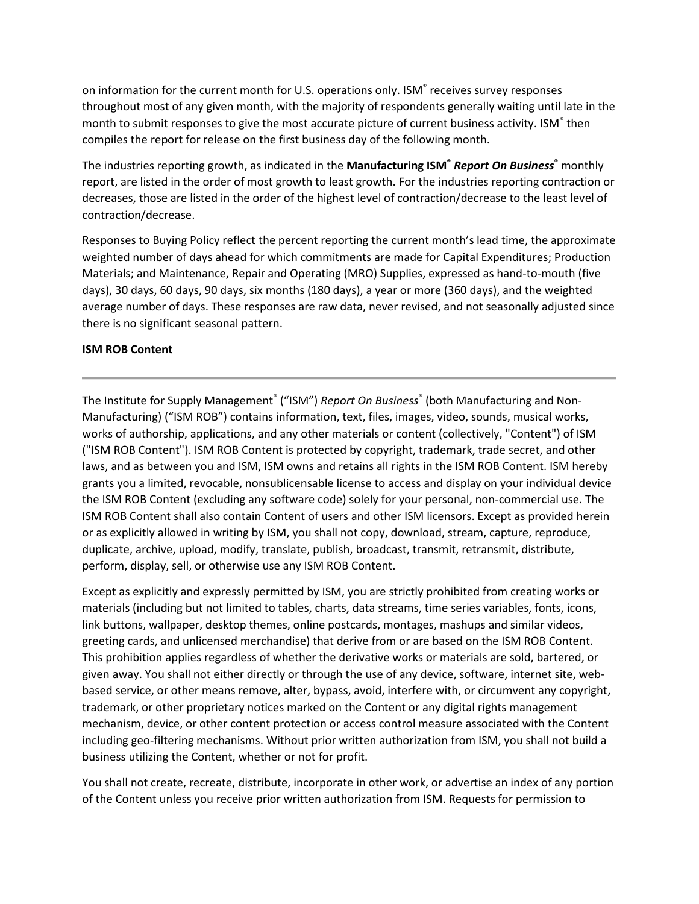on information for the current month for U.S. operations only. ISM<sup>®</sup> receives survey responses throughout most of any given month, with the majority of respondents generally waiting until late in the month to submit responses to give the most accurate picture of current business activity. ISM<sup>®</sup> then compiles the report for release on the first business day of the following month.

The industries reporting growth, as indicated in the **Manufacturing ISM®** *Report On Business***®** monthly report, are listed in the order of most growth to least growth. For the industries reporting contraction or decreases, those are listed in the order of the highest level of contraction/decrease to the least level of contraction/decrease.

Responses to Buying Policy reflect the percent reporting the current month's lead time, the approximate weighted number of days ahead for which commitments are made for Capital Expenditures; Production Materials; and Maintenance, Repair and Operating (MRO) Supplies, expressed as hand-to-mouth (five days), 30 days, 60 days, 90 days, six months (180 days), a year or more (360 days), and the weighted average number of days. These responses are raw data, never revised, and not seasonally adjusted since there is no significant seasonal pattern.

## **ISM ROB Content**

The Institute for Supply Management<sup>®</sup> ("ISM") *Report On Business*® (both Manufacturing and Non-Manufacturing) ("ISM ROB") contains information, text, files, images, video, sounds, musical works, works of authorship, applications, and any other materials or content (collectively, "Content") of ISM ("ISM ROB Content"). ISM ROB Content is protected by copyright, trademark, trade secret, and other laws, and as between you and ISM, ISM owns and retains all rights in the ISM ROB Content. ISM hereby grants you a limited, revocable, nonsublicensable license to access and display on your individual device the ISM ROB Content (excluding any software code) solely for your personal, non-commercial use. The ISM ROB Content shall also contain Content of users and other ISM licensors. Except as provided herein or as explicitly allowed in writing by ISM, you shall not copy, download, stream, capture, reproduce, duplicate, archive, upload, modify, translate, publish, broadcast, transmit, retransmit, distribute, perform, display, sell, or otherwise use any ISM ROB Content.

Except as explicitly and expressly permitted by ISM, you are strictly prohibited from creating works or materials (including but not limited to tables, charts, data streams, time series variables, fonts, icons, link buttons, wallpaper, desktop themes, online postcards, montages, mashups and similar videos, greeting cards, and unlicensed merchandise) that derive from or are based on the ISM ROB Content. This prohibition applies regardless of whether the derivative works or materials are sold, bartered, or given away. You shall not either directly or through the use of any device, software, internet site, webbased service, or other means remove, alter, bypass, avoid, interfere with, or circumvent any copyright, trademark, or other proprietary notices marked on the Content or any digital rights management mechanism, device, or other content protection or access control measure associated with the Content including geo-filtering mechanisms. Without prior written authorization from ISM, you shall not build a business utilizing the Content, whether or not for profit.

You shall not create, recreate, distribute, incorporate in other work, or advertise an index of any portion of the Content unless you receive prior written authorization from ISM. Requests for permission to